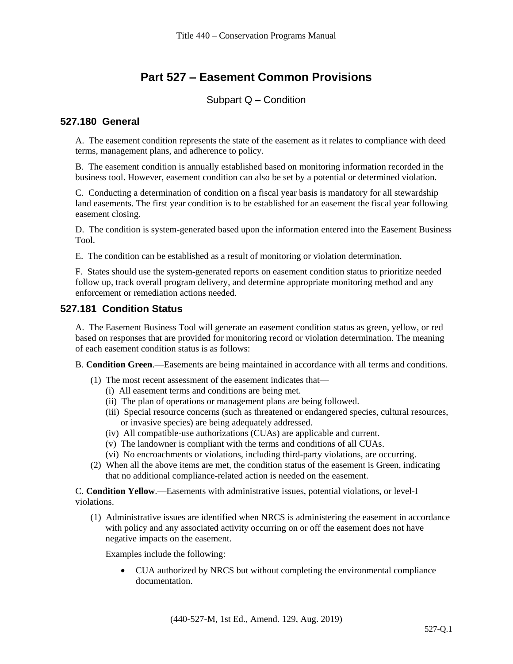# **Part 527 – Easement Common Provisions**

# Subpart Q **–** Condition

### **527.180 General**

A. The easement condition represents the state of the easement as it relates to compliance with deed terms, management plans, and adherence to policy.

B. The easement condition is annually established based on monitoring information recorded in the business tool. However, easement condition can also be set by a potential or determined violation.

C. Conducting a determination of condition on a fiscal year basis is mandatory for all stewardship land easements. The first year condition is to be established for an easement the fiscal year following easement closing.

D. The condition is system-generated based upon the information entered into the Easement Business Tool.

E. The condition can be established as a result of monitoring or violation determination.

F. States should use the system-generated reports on easement condition status to prioritize needed follow up, track overall program delivery, and determine appropriate monitoring method and any enforcement or remediation actions needed.

# **527.181 Condition Status**

A. The Easement Business Tool will generate an easement condition status as green, yellow, or red based on responses that are provided for monitoring record or violation determination. The meaning of each easement condition status is as follows:

B. **Condition Green**.—Easements are being maintained in accordance with all terms and conditions.

- (1) The most recent assessment of the easement indicates that—
	- (i) All easement terms and conditions are being met.
	- (ii) The plan of operations or management plans are being followed.
	- (iii) Special resource concerns (such as threatened or endangered species, cultural resources, or invasive species) are being adequately addressed.
	- (iv) All compatible-use authorizations (CUAs) are applicable and current.
	- (v) The landowner is compliant with the terms and conditions of all CUAs.
	- (vi) No encroachments or violations, including third-party violations, are occurring.
- (2) When all the above items are met, the condition status of the easement is Green, indicating that no additional compliance-related action is needed on the easement.

C. **Condition Yellow**.—Easements with administrative issues, potential violations, or level-I violations.

(1) Administrative issues are identified when NRCS is administering the easement in accordance with policy and any associated activity occurring on or off the easement does not have negative impacts on the easement.

Examples include the following:

• CUA authorized by NRCS but without completing the environmental compliance documentation.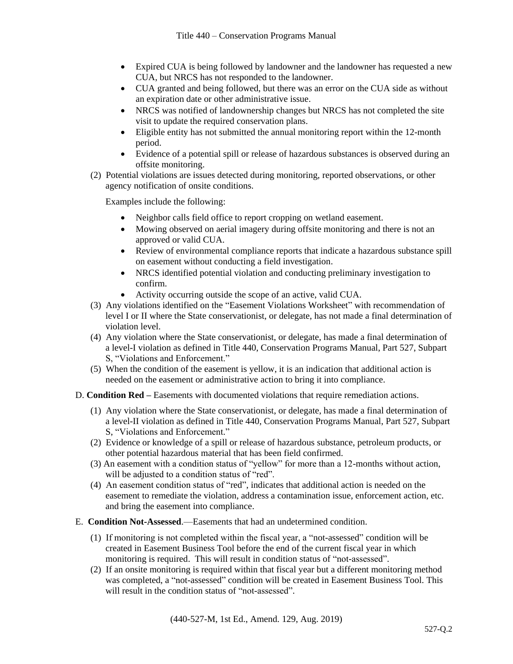- Expired CUA is being followed by landowner and the landowner has requested a new CUA, but NRCS has not responded to the landowner.
- CUA granted and being followed, but there was an error on the CUA side as without an expiration date or other administrative issue.
- NRCS was notified of landownership changes but NRCS has not completed the site visit to update the required conservation plans.
- Eligible entity has not submitted the annual monitoring report within the 12-month period.
- Evidence of a potential spill or release of hazardous substances is observed during an offsite monitoring.
- (2) Potential violations are issues detected during monitoring, reported observations, or other agency notification of onsite conditions.

Examples include the following:

- Neighbor calls field office to report cropping on wetland easement.
- Mowing observed on aerial imagery during offsite monitoring and there is not an approved or valid CUA.
- Review of environmental compliance reports that indicate a hazardous substance spill on easement without conducting a field investigation.
- NRCS identified potential violation and conducting preliminary investigation to confirm.
- Activity occurring outside the scope of an active, valid CUA.
- (3) Any violations identified on the "Easement Violations Worksheet" with recommendation of level I or II where the State conservationist, or delegate, has not made a final determination of violation level.
- (4) Any violation where the State conservationist, or delegate, has made a final determination of a level-I violation as defined in Title 440, Conservation Programs Manual, Part 527, Subpart S, "Violations and Enforcement."
- (5) When the condition of the easement is yellow, it is an indication that additional action is needed on the easement or administrative action to bring it into compliance.
- D. **Condition Red –** Easements with documented violations that require remediation actions.
	- (1) Any violation where the State conservationist, or delegate, has made a final determination of a level-II violation as defined in Title 440, Conservation Programs Manual, Part 527, Subpart S, "Violations and Enforcement."
	- (2) Evidence or knowledge of a spill or release of hazardous substance, petroleum products, or other potential hazardous material that has been field confirmed.
	- (3) An easement with a condition status of "yellow" for more than a 12-months without action, will be adjusted to a condition status of "red".
	- (4) An easement condition status of "red", indicates that additional action is needed on the easement to remediate the violation, address a contamination issue, enforcement action, etc. and bring the easement into compliance.
- E. **Condition Not-Assessed**.—Easements that had an undetermined condition.
	- (1) If monitoring is not completed within the fiscal year, a "not-assessed" condition will be created in Easement Business Tool before the end of the current fiscal year in which monitoring is required. This will result in condition status of "not-assessed".
	- (2) If an onsite monitoring is required within that fiscal year but a different monitoring method was completed, a "not-assessed" condition will be created in Easement Business Tool. This will result in the condition status of "not-assessed".